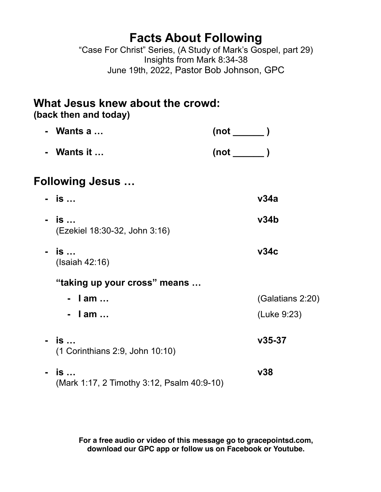## **Facts About Following**

"Case For Christ" Series, (A Study of Mark's Gospel, part 29) Insights from Mark 8:34-38 June 19th, 2022, Pastor Bob Johnson, GPC

# **What Jesus knew about the crowd:**

**(back then and today)** 

|                         | Wants a                                          | $(not \ \_\_ )$ |                  |
|-------------------------|--------------------------------------------------|-----------------|------------------|
|                         | Wants it                                         | $(not \$        |                  |
| <b>Following Jesus </b> |                                                  |                 |                  |
|                         | - is                                             |                 | v34a             |
|                         | - is<br>(Ezekiel 18:30-32, John 3:16)            |                 | v34b             |
|                         | - is<br>(Isaiah 42:16)                           |                 | v34c             |
|                         | "taking up your cross" means                     |                 |                  |
|                         | - lam                                            |                 | (Galatians 2:20) |
|                         | - lam                                            |                 | (Luke 9:23)      |
|                         | is<br>(1 Corinthians 2:9, John 10:10)            |                 | $v35-37$         |
|                         | is<br>(Mark 1:17, 2 Timothy 3:12, Psalm 40:9-10) |                 | v38              |

**For a free audio or video of this message go to gracepointsd.com, download our GPC app or follow us on Facebook or Youtube.**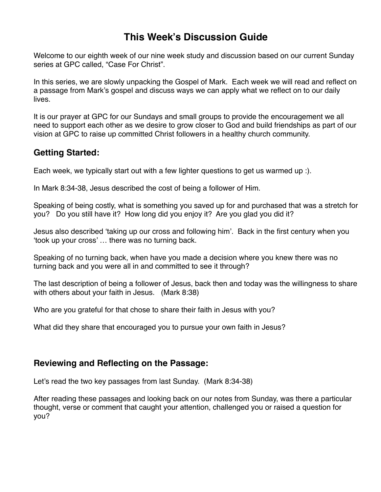### **This Week's Discussion Guide**

Welcome to our eighth week of our nine week study and discussion based on our current Sunday series at GPC called, "Case For Christ".

In this series, we are slowly unpacking the Gospel of Mark. Each week we will read and reflect on a passage from Mark's gospel and discuss ways we can apply what we reflect on to our daily lives.

It is our prayer at GPC for our Sundays and small groups to provide the encouragement we all need to support each other as we desire to grow closer to God and build friendships as part of our vision at GPC to raise up committed Christ followers in a healthy church community.

#### **Getting Started:**

Each week, we typically start out with a few lighter questions to get us warmed up :).

In Mark 8:34-38, Jesus described the cost of being a follower of Him.

Speaking of being costly, what is something you saved up for and purchased that was a stretch for you? Do you still have it? How long did you enjoy it? Are you glad you did it?

Jesus also described 'taking up our cross and following him'. Back in the first century when you 'took up your cross' … there was no turning back.

Speaking of no turning back, when have you made a decision where you knew there was no turning back and you were all in and committed to see it through?

The last description of being a follower of Jesus, back then and today was the willingness to share with others about your faith in Jesus. (Mark 8:38)

Who are you grateful for that chose to share their faith in Jesus with you?

What did they share that encouraged you to pursue your own faith in Jesus?

#### **Reviewing and Reflecting on the Passage:**

Let's read the two key passages from last Sunday. (Mark 8:34-38)

After reading these passages and looking back on our notes from Sunday, was there a particular thought, verse or comment that caught your attention, challenged you or raised a question for you?